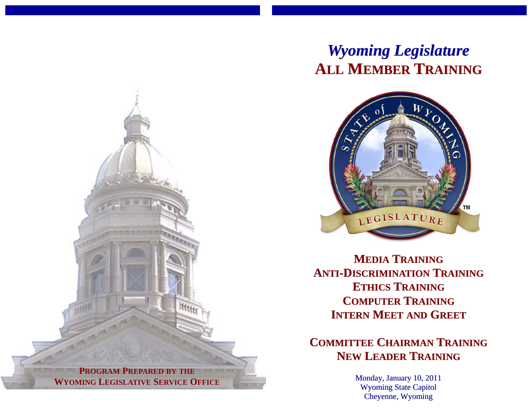# *Wyoming Legislature* **ALL MEMBER TRAINING**



**MEDIA TRAININGANTI-DISCRIMINATION TRAININGETHICS TRAINING COMPUTER TRAININGINTERN MEET AND GREET**

**COMMITTEE CHAIRMAN TRAININGNEW LEADER TRAINING**

> Monday, January 10, 2011 Wyoming State Capitol Cheyenne, Wyoming